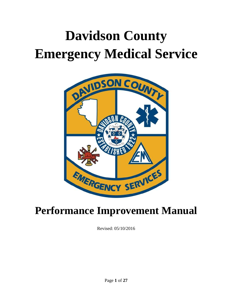# **Davidson County Emergency Medical Service**



# **Performance Improvement Manual**

Revised: 05/10/2016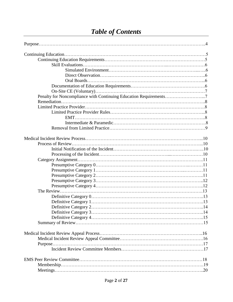# *Table of Contents*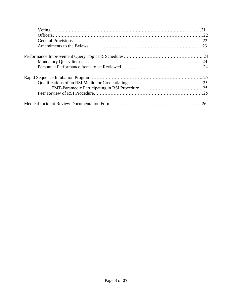| 23 |
|----|
|    |
|    |
|    |
|    |
|    |
|    |
|    |
| 26 |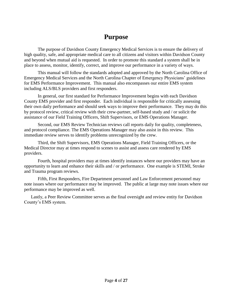# **Purpose**

The purpose of Davidson County Emergency Medical Services is to ensure the delivery of high quality, safe, and appropriate medical care to all citizens and visitors within Davidson County and beyond when mutual aid is requested. In order to promote this standard a system shall be in place to assess, monitor, identify, correct, and improve our performance in a variety of ways.

This manual will follow the standards adopted and approved by the North Carolina Office of Emergency Medical Services and the North Carolina Chapter of Emergency Physicians' guidelines for EMS Performance Improvement. This manual also encompasses our entire EMS system including ALS/BLS providers and first responders.

In general, our first standard for Performance Improvement begins with each Davidson County EMS provider and first responder. Each individual is responsible for critically assessing their own daily performance and should seek ways to improve their performance. They may do this by protocol review, critical review with their crew-partner, self-based study and / or solicit the assistance of our Field Training Officers, Shift Supervisors, or EMS Operations Manager.

Second, our EMS Review Technician reviews call reports daily for quality, completeness, and protocol compliance. The EMS Operations Manager may also assist in this review. This immediate review serves to identify problems unrecognized by the crew.

Third, the Shift Supervisors, EMS Operations Manager, Field Training Officers, or the Medical Director may at times respond to scenes to assist and assess care rendered by EMS providers.

Fourth, hospital providers may at times identify instances where our providers may have an opportunity to learn and enhance their skills and / or performance. One example is STEMI, Stroke and Trauma program reviews.

Fifth, First Responders, Fire Department personnel and Law Enforcement personnel may note issues where our performance may be improved. The public at large may note issues where our performance may be improved as well.

Lastly, a Peer Review Committee serves as the final oversight and review entity for Davidson County's EMS system.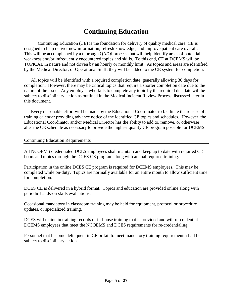# **Continuing Education**

Continuing Education (CE) is the foundation for delivery of quality medical care. CE is designed to help deliver new information, refresh knowledge, and improve patient care overall. This will be accomplished by a thorough QA/QI process that will help identify areas of potential weakness and/or infrequently encountered topics and skills. To this end, CE at DCEMS will be TOPICAL in nature and not driven by an hourly or monthly limit. As topics and areas are identified by the Medical Director, or Operational Staff, they will be added to the CE system for completion.

All topics will be identified with a required completion date, generally allowing 30 days for completion. However, there may be critical topics that require a shorter completion date due to the nature of the issue. Any employee who fails to complete any topic by the required due date will be subject to disciplinary action as outlined in the Medical Incident Review Process discussed later in this document.

Every reasonable effort will be made by the Educational Coordinator to facilitate the release of a training calendar providing advance notice of the identified CE topics and schedules. However, the Educational Coordinator and/or Medical Director has the ability to add to, remove, or otherwise alter the CE schedule as necessary to provide the highest quality CE program possible for DCEMS.

#### Continuing Education Requirements

All NCOEMS credentialed DCES employees shall maintain and keep up to date with required CE hours and topics through the DCES CE program along with annual required training.

Participation in the online DCES CE program is required for DCEMS employees. This may be completed while on-duty. Topics are normally available for an entire month to allow sufficient time for completion.

DCES CE is delivered in a hybrid format. Topics and education are provided online along with periodic hands-on skills evaluations.

Occasional mandatory in classroom training may be held for equipment, protocol or procedure updates, or specialized training.

DCES will maintain training records of in-house training that is provided and will re-credential DCEMS employees that meet the NCOEMS and DCES requirements for re-credentialing.

Personnel that become delinquent in CE or fail to meet mandatory training requirements shall be subject to disciplinary action.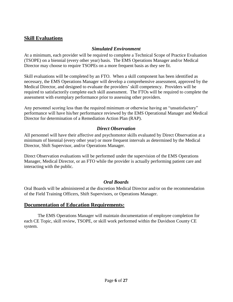## **Skill Evaluations**

#### *Simulated Environment*

At a minimum, each provider will be required to complete a Technical Scope of Practice Evaluation (TSOPE) on a biennial (every other year) basis. The EMS Operations Manager and/or Medical Director may choose to require TSOPEs on a more frequent basis as they see fit.

Skill evaluations will be completed by an FTO. When a skill component has been identified as necessary, the EMS Operations Manager will develop a comprehensive assessment, approved by the Medical Director, and designed to evaluate the providers' skill competency. Providers will be required to satisfactorily complete each skill assessment. The FTOs will be required to complete the assessment with exemplary performance prior to assessing other providers.

Any personnel scoring less than the required minimum or otherwise having an "unsatisfactory" performance will have his/her performance reviewed by the EMS Operational Manager and Medical Director for determination of a Remediation Action Plan (RAP).

#### *Direct Observation*

All personnel will have their affective and psychomotor skills evaluated by Direct Observation at a minimum of biennial (every other year) or more frequent intervals as determined by the Medical Director, Shift Supervisor, and/or Operations Manager.

Direct Observation evaluations will be performed under the supervision of the EMS Operations Manager, Medical Director, or an FTO while the provider is actually performing patient care and interacting with the public.

#### *Oral Boards*

Oral Boards will be administered at the discretion Medical Director and/or on the recommendation of the Field Training Officers, Shift Supervisors, or Operations Manager.

### **Documentation of Education Requirements:**

The EMS Operations Manager will maintain documentation of employee completion for each CE Topic, skill review, TSOPE, or skill work performed within the Davidson County CE system.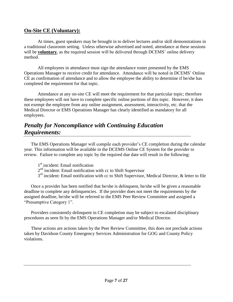### **On-Site CE (Voluntary):**

At times, guest speakers may be brought in to deliver lectures and/or skill demonstrations in a traditional classroom setting. Unless otherwise advertised and noted, attendance at these sessions will be **voluntary**, as the required session will be delivered through DCEMS' online delivery method.

All employees in attendance must sign the attendance roster presented by the EMS Operations Manager to receive credit for attendance. Attendance will be noted in DCEMS' Online CE as confirmation of attendance and to allow the employee the ability to determine if he/she has completed the requirement for that topic.

Attendance at any on-site CE will meet the requirement for that particular topic; therefore these employees will not have to complete specific online portions of this topic. However, it does not exempt the employee from any online assignment, assessment, interactivity, etc. that the Medical Director or EMS Operations Manager has clearly identified as mandatory for all employees.

# *Penalty for Noncompliance with Continuing Education Requirements:*

The EMS Operations Manager will compile each provider's CE completion during the calendar year. This information will be available in the DCEMS Online CE System for the provider to review. Failure to complete any topic by the required due date will result in the following:

- 1<sup>st</sup> incident: Email notification
- 2<sup>nd</sup> incident: Email notification with cc to Shift Supervisor
- 3<sup>rd</sup> incident: Email notification with cc to Shift Supervisor, Medical Director, & letter to file

Once a provider has been notified that he/she is delinquent, he/she will be given a reasonable deadline to complete any delinquencies. If the provider does not meet the requirements by the assigned deadline, he/she will be referred to the EMS Peer Review Committee and assigned a "Presumptive Category 1".

Providers consistently delinquent in CE completion may be subject to escalated disciplinary procedures as seen fit by the EMS Operations Manager and/or Medical Director.

These actions are actions taken by the Peer Review Committee, this does not preclude actions taken by Davidson County Emergency Services Administration for GOG and County Policy violations.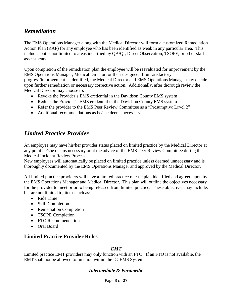# *Remediation*

The EMS Operations Manager along with the Medical Director will form a customized Remediation Action Plan (RAP) for any employee who has been identified as weak in any particular area. This includes but is not limited to areas identified by QA/QI, Direct Observation, TSOPE, or other skill assessments.

Upon completion of the remediation plan the employee will be reevaluated for improvement by the EMS Operations Manager, Medical Director, or their designee. If unsatisfactory progress/improvement is identified, the Medical Director and EMS Operations Manager may decide upon further remediation or necessary corrective action. Additionally, after thorough review the Medical Director may choose to:

- Revoke the Provider's EMS credential in the Davidson County EMS system
- Reduce the Provider's EMS credential in the Davidson County EMS system
- Refer the provider to the EMS Peer Review Committee as a "Presumptive Level 2"
- Additional recommendations as he/she deems necessary

# *Limited Practice Provider*

An employee may have his/her provider status placed on limited practice by the Medical Director at any point he/she deems necessary or at the advice of the EMS Peer Review Committee during the Medical Incident Review Process.

New employees will automatically be placed on limited practice unless deemed unnecessary and is thoroughly documented by the EMS Operations Manager and approved by the Medical Director.

All limited practice providers will have a limited practice release plan identified and agreed upon by the EMS Operations Manager and Medical Director. This plan will outline the objectives necessary for the provider to meet prior to being released from limited practice. These objectives may include, but are not limited to, items such as:

- Ride Time
- Skill Completion
- Remediation Completion
- TSOPE Completion
- FTO Recommendation
- Oral Board

### **Limited Practice Provider Rules**

#### *EMT*

Limited practice EMT providers may only function with an FTO. If an FTO is not available, the EMT shall not be allowed to function within the DCEMS System.

#### *Intermediate & Paramedic*

Page **8** of **27**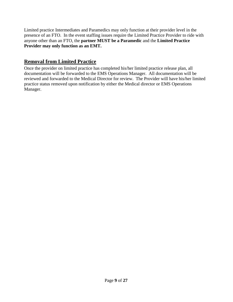Limited practice Intermediates and Paramedics may only function at their provider level in the presence of an FTO. In the event staffing issues require the Limited Practice Provider to ride with anyone other than an FTO, the **partner MUST be a Paramedic** and the **Limited Practice Provider may only function as an EMT.**

# **Removal from Limited Practice**

Once the provider on limited practice has completed his/her limited practice release plan, all documentation will be forwarded to the EMS Operations Manager. All documentation will be reviewed and forwarded to the Medical Director for review. The Provider will have his/her limited practice status removed upon notification by either the Medical director or EMS Operations Manager.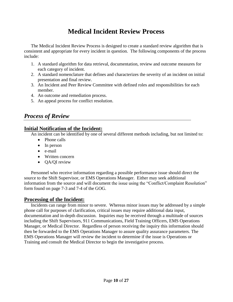# **Medical Incident Review Process**

The Medical Incident Review Process is designed to create a standard review algorithm that is consistent and appropriate for every incident in question. The following components of the process include:

- 1. A standard algorithm for data retrieval, documentation, review and outcome measures for each category of incident.
- 2. A standard nomenclature that defines and characterizes the severity of an incident on initial presentation and final review.
- 3. An Incident and Peer Review Committee with defined roles and responsibilities for each member.
- 4. An outcome and remediation process.
- 5. An appeal process for conflict resolution.

# *Process of Review*

## **Initial Notification of the Incident:**

An incident can be identified by one of several different methods including, but not limited to:

- Phone calls
- In person
- e-mail
- Written concern
- **QA/QI** review

Personnel who receive information regarding a possible performance issue should direct the source to the Shift Supervisor, or EMS Operations Manager. Either may seek additional information from the source and will document the issue using the "Conflict/Complaint Resolution" form found on page 7-3 and 7-4 of the GOG.

### **Processing of the Incident:**

Incidents can range from minor to severe. Whereas minor issues may be addressed by a simple phone call for purposes of clarification, critical issues may require additional data input, documentation and in-depth discussion. Inquiries may be received through a multitude of sources including the Shift Supervisors, 911 Communications, Field Training Officers, EMS Operations Manager, or Medical Director. Regardless of person receiving the inquiry this information should then be forwarded to the EMS Operations Manager to assure quality assurance parameters. The EMS Operations Manager will review the incident to determine if the issue is Operations or Training and consult the Medical Director to begin the investigative process.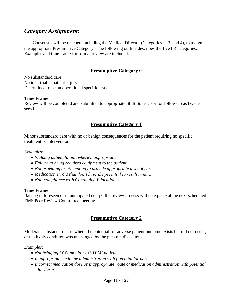# *Category Assignment:*

Consensus will be reached, including the Medical Director (Categories 2, 3, and 4), to assign the appropriate Presumptive Category. The following outline describes the five (5) categories. Examples and time frame for formal review are included.

### **Presumptive Category 0**

No substandard care No identifiable patient injury Determined to be an operational specific issue

#### **Time Frame**

Review will be completed and submitted to appropriate Shift Supervisor for follow-up as he/she sees fit.

#### **Presumptive Category 1**

Minor substandard care with no or benign consequences for the patient requiring no specific treatment or intervention

*Examples:* 

- *Walking patient to unit where inappropriate.*
- *Failure to bring required equipment to the patient.*
- *Not providing or attempting to provide appropriate level of care.*
- *Medication errors that don't have the potential to result in harm*
- *Non-compliance with Continuing Education*

#### **Time Frame**

Barring unforeseen or unanticipated delays, the review process will take place at the next scheduled EMS Peer Review Committee meeting.

### **Presumptive Category 2**

Moderate substandard care where the potential for adverse patient outcome exists but did not occur, or the likely condition was unchanged by the personnel's actions.

*Examples:* 

- *Not bringing ECG monitor to STEMI patient*
- *Inappropriate medicine administration with potential for harm*
- Incorrect medication dose or inappropriate route of medication administration with potential *for harm*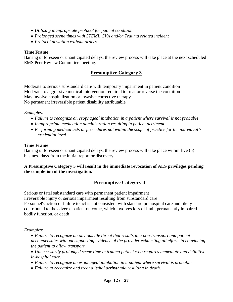- *Utilizing inappropriate protocol for patient condition*
- *Prolonged scene times with STEMI, CVA and/or Trauma related incident*
- *Protocol deviation without orders*

#### **Time Frame**

Barring unforeseen or unanticipated delays, the review process will take place at the next scheduled EMS Peer Review Committee meeting.

### **Presumptive Category 3**

Moderate to serious substandard care with temporary impairment in patient condition Moderate to aggressive medical intervention required to treat or reverse the condition May involve hospitalization or invasive corrective therapy No permanent irreversible patient disability attributable

#### *Examples:*

- *Failure to recognize an esophageal intubation in a patient where survival is not probable*
- *Inappropriate medication administration resulting in patient detriment*
- *Performing medical acts or procedures not within the scope of practice for the individual's credential level*

#### **Time Frame**

Barring unforeseen or unanticipated delays, the review process will take place within five (5) business days from the initial report or discovery.

#### **A Presumptive Category 3 will result in the immediate revocation of ALS privileges pending the completion of the investigation.**

### **Presumptive Category 4**

Serious or fatal substandard care with permanent patient impairment Irreversible injury or serious impairment resulting from substandard care Personnel's action or failure to act is not consistent with standard prehospital care and likely contributed to the adverse patient outcome, which involves loss of limb, permanently impaired bodily function, or death

#### *Examples:*

 *Failure to recognize an obvious life threat that results in a non-transport and patient decompensates without supporting evidence of the provider exhausting all efforts in convincing the patient to allow transport.*

- *Unnecessarily prolonged scene time in trauma patient who requires immediate and definitive in-hospital care.*
- *Failure to recognize an esophageal intubation in a patient where survival is probable.*
- *Failure to recognize and treat a lethal arrhythmia resulting in death.*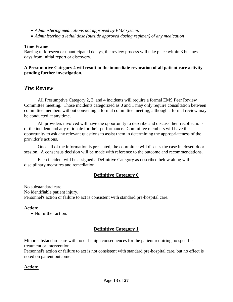- *Administering medications not approved by EMS system.*
- *Administering a lethal dose (outside approved dosing regimen) of any medication*

#### **Time Frame**

Barring unforeseen or unanticipated delays, the review process will take place within 3 business days from initial report or discovery.

#### **A Presumptive Category 4 will result in the immediate revocation of all patient care activity pending further investigation.**

### *The Review*

All Presumptive Category 2, 3, and 4 incidents will require a formal EMS Peer Review Committee meeting. Those incidents categorized as 0 and 1 may only require consultation between committee members without convening a formal committee meeting, although a formal review may be conducted at any time.

All providers involved will have the opportunity to describe and discuss their recollections of the incident and any rationale for their performance. Committee members will have the opportunity to ask any relevant questions to assist them in determining the appropriateness of the provider's actions.

Once all of the information is presented, the committee will discuss the case in closed-door session. A consensus decision will be made with reference to the outcome and recommendations.

Each incident will be assigned a Definitive Category as described below along with disciplinary measures and remediation.

#### **Definitive Category 0**

No substandard care. No identifiable patient injury. Personnel's action or failure to act is consistent with standard pre-hospital care.

#### **Action:**

• No further action.

### **Definitive Category 1**

Minor substandard care with no or benign consequences for the patient requiring no specific treatment or intervention

Personnel's action or failure to act is not consistent with standard pre-hospital care, but no effect is noted on patient outcome.

#### **Action:**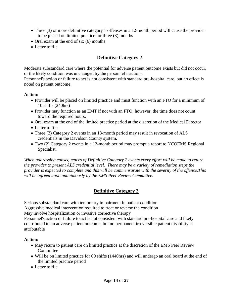- Three (3) or more definitive category 1 offenses in a 12-month period will cause the provider to be placed on limited practice for three (3) months
- Oral exam at the end of six (6) months
- Letter to file

### **Definitive Category 2**

Moderate substandard care where the potential for adverse patient outcome exists but did not occur, or the likely condition was unchanged by the personnel's actions.

Personnel's action or failure to act is not consistent with standard pre-hospital care, but no effect is noted on patient outcome.

#### **Action:**

- Provider will be placed on limited practice and must function with an FTO for a minimum of 10 shifts (240hrs)
- Provider may function as an EMT if not with an FTO; however, the time does not count toward the required hours.
- Oral exam at the end of the limited practice period at the discretion of the Medical Director
- Letter to file.
- Three (3) Category 2 events in an 18-month period may result in revocation of ALS credentials in the Davidson County system.
- Two (2) Category 2 events in a 12-month period may prompt a report to NCOEMS Regional Specialist.

*When addressing consequences of Definitive Category 2 events every effort will be made to return the provider to present ALS credential level. There may be a variety of remediation steps the provider is expected to complete and this will be commensurate with the severity of the offense.This will be agreed upon unanimously by the EMS Peer Review Committee.*

### **Definitive Category 3**

Serious substandard care with temporary impairment in patient condition Aggressive medical intervention required to treat or reverse the condition May involve hospitalization or invasive corrective therapy Personnel's action or failure to act is not consistent with standard pre-hospital care and likely contributed to an adverse patient outcome, but no permanent irreversible patient disability is attributable

#### **Action:**

- May return to patient care on limited practice at the discretion of the EMS Peer Review **Committee**
- Will be on limited practice for 60 shifts (1440hrs) and will undergo an oral board at the end of the limited practice period
- Letter to file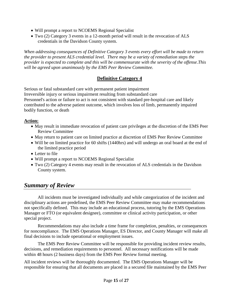- Will prompt a report to NCOEMS Regional Specialist
- Two (2) Category 3 events in a 12-month period will result in the revocation of ALS credentials in the Davidson County system.

*When addressing consequences of Definitive Category 3 events every effort will be made to return the provider to present ALS credential level. There may be a variety of remediation steps the provider is expected to complete and this will be commensurate with the severity of the offense.This will be agreed upon unanimously by the EMS Peer Review Committee.*

# **Definitive Category 4**

Serious or fatal substandard care with permanent patient impairment Irreversible injury or serious impairment resulting from substandard care Personnel's action or failure to act is not consistent with standard pre-hospital care and likely contributed to the adverse patient outcome, which involves loss of limb, permanently impaired bodily function, or death

### **Action:**

- May result in immediate revocation of patient care privileges at the discretion of the EMS Peer Review Committee
- May return to patient care on limited practice at discretion of EMS Peer Review Committee
- Will be on limited practice for 60 shifts (1440hrs) and will undergo an oral board at the end of the limited practice period
- Letter to file
- Will prompt a report to NCOEMS Regional Specialist
- Two (2) Category 4 events may result in the revocation of ALS credentials in the Davidson County system.

# *Summary of Review*

All incidents must be investigated individually and while categorization of the incident and disciplinary actions are predefined, the EMS Peer Review Committee may make recommendations not specifically defined. This may include an educational process, tutoring by the EMS Operations Manager or FTO (or equivalent designee), committee or clinical activity participation, or other special project.

Recommendations may also include a time frame for completion, penalties, or consequences for noncompliance. The EMS Operations Manager, ES Director, and County Manager will make all final decisions to include operational or employment issues.

The EMS Peer Review Committee will be responsible for providing incident review results, decisions, and remediation requirements to personnel. All necessary notifications will be made within 48 hours (2 business days) from the EMS Peer Review formal meeting.

All incident reviews will be thoroughly documented. The EMS Operations Manager will be responsible for ensuring that all documents are placed in a secured file maintained by the EMS Peer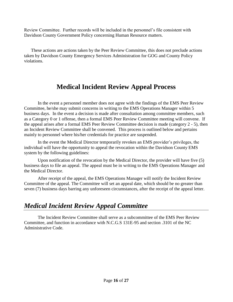Review Committee. Further records will be included in the personnel's file consistent with Davidson County Government Policy concerning Human Resource matters.

These actions are actions taken by the Peer Review Committee, this does not preclude actions taken by Davidson County Emergency Services Administration for GOG and County Policy violations.

# **Medical Incident Review Appeal Process**

In the event a personnel member does not agree with the findings of the EMS Peer Review Committee, he/she may submit concerns in writing to the EMS Operations Manager within 5 business days. In the event a decision is made after consultation among committee members, such as a Category 0 or 1 offense, then a formal EMS Peer Review Committee meeting will convene. If the appeal arises after a formal EMS Peer Review Committee decision is made (category 2 - 5), then an Incident Review Committee shall be convened. This process is outlined below and pertains mainly to personnel where his/her credentials for practice are suspended.

In the event the Medical Director temporarily revokes an EMS provider's privileges, the individual will have the opportunity to appeal the revocation within the Davidson County EMS system by the following guidelines:

Upon notification of the revocation by the Medical Director, the provider will have five (5) business days to file an appeal. The appeal must be in writing to the EMS Operations Manager and the Medical Director.

After receipt of the appeal, the EMS Operations Manager will notify the Incident Review Committee of the appeal. The Committee will set an appeal date, which should be no greater than seven (7) business days barring any unforeseen circumstances, after the receipt of the appeal letter.

# *Medical Incident Review Appeal Committee*

The Incident Review Committee shall serve as a subcommittee of the EMS Peer Review Committee, and function in accordance with N.C.G.S 131E-95 and section .3101 of the NC Administrative Code.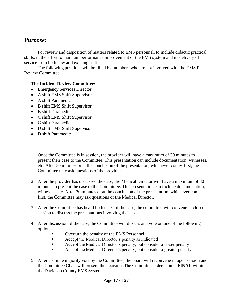# *Purpose:*

For review and disposition of matters related to EMS personnel, to include didactic practical skills, in the effort to maintain performance improvement of the EMS system and its delivery of service from both new and existing staff.

The following positions will be filled by members who are not involved with the EMS Peer Review Committee:

#### **The Incident Review Committee:**

- Emergency Services Director
- A shift EMS Shift Supervisor
- A shift Paramedic
- B shift EMS Shift Supervisor
- B shift Paramedic
- C shift EMS Shift Supervisor
- C shift Paramedic
- D shift EMS Shift Supervisor
- D shift Paramedic
- 1. Once the Committee is in session, the provider will have a maximum of 30 minutes to present their case to the Committee. This presentation can include documentation, witnesses, etc. After 30 minutes or at the conclusion of the presentation, whichever comes first, the Committee may ask questions of the provider.
- 2. After the provider has discussed the case, the Medical Director will have a maximum of 30 minutes to present the case to the Committee. This presentation can include documentation, witnesses, etc. After 30 minutes or at the conclusion of the presentation, whichever comes first, the Committee may ask questions of the Medical Director.
- 3. After the Committee has heard both sides of the case, the committee will convene in closed session to discuss the presentations involving the case.
- 4. After discussion of the case, the Committee will discuss and vote on one of the following options:
	- Overturn the penalty of the EMS Personnel
	- **Example 3** Accept the Medical Director's penalty as indicated
	- Accept the Medical Director's penalty, but consider a lesser penalty
	- Accept the Medical Director's penalty, but consider a greater penalty
- 5. After a simple majority vote by the Committee, the board will reconvene in open session and the Committee Chair will present the decision. The Committees' decision is **FINAL** within the Davidson County EMS System.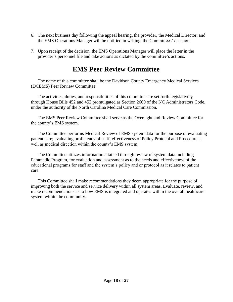- 6. The next business day following the appeal hearing, the provider, the Medical Director, and the EMS Operations Manager will be notified in writing, the Committees' decision.
- 7. Upon receipt of the decision, the EMS Operations Manager will place the letter in the provider's personnel file and take actions as dictated by the committee's actions.

# **EMS Peer Review Committee**

The name of this committee shall be the Davidson County Emergency Medical Services (DCEMS) Peer Review Committee.

The activities, duties, and responsibilities of this committee are set forth legislatively through House Bills 452 and 453 promulgated as Section 2600 of the NC Administrators Code, under the authority of the North Carolina Medical Care Commission.

The EMS Peer Review Committee shall serve as the Oversight and Review Committee for the county's EMS system.

The Committee performs Medical Review of EMS system data for the purpose of evaluating patient care; evaluating proficiency of staff, effectiveness of Policy Protocol and Procedure as well as medical direction within the county's EMS system.

The Committee utilizes information attained through review of system data including Paramedic Program, for evaluation and assessment as to the needs and effectiveness of the educational programs for staff and the system's policy and or protocol as it relates to patient care.

This Committee shall make recommendations they deem appropriate for the purpose of improving both the service and service delivery within all system areas. Evaluate, review, and make recommendations as to how EMS is integrated and operates within the overall healthcare system within the community.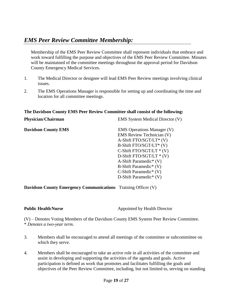# *EMS Peer Review Committee Membership:*

Membership of the EMS Peer Review Committee shall represent individuals that embrace and work toward fulfilling the purpose and objectives of the EMS Peer Review Committee. Minutes will be maintained of the committee meetings throughout the approval period for Davidson County Emergency Medical Services.

- 1. The Medical Director or designee will lead EMS Peer Review meetings involving clinical issues.
- 2. The EMS Operations Manager is responsible for setting up and coordinating the time and location for all committee meetings.

#### **The Davidson County EMS Peer Review Committee shall consist of the following:**

| Physician/Chairman         | <b>EMS</b> System Medical Director (V) |  |  |  |
|----------------------------|----------------------------------------|--|--|--|
| <b>Davidson County EMS</b> | <b>EMS</b> Operations Manager (V)      |  |  |  |
|                            | <b>EMS</b> Review Technician (V)       |  |  |  |
|                            | A-Shift FTO/SGT/LT* (V)                |  |  |  |
|                            | B-Shift FTO/SGT/LT* (V)                |  |  |  |
|                            | C-Shift FTO/SGT/LT $*(V)$              |  |  |  |
|                            | D-Shift FTO/SGT/LT $*(V)$              |  |  |  |
|                            | A-Shift Paramedic <sup>*</sup> (V)     |  |  |  |
|                            | B-Shift Paramedic <sup>*</sup> $(V)$   |  |  |  |
|                            | C-Shift Paramedic <sup>*</sup> $(V)$   |  |  |  |
|                            | D-Shift Paramedic <sup>*</sup> $(V)$   |  |  |  |
|                            |                                        |  |  |  |

**Davidson County Emergency Communications** Training Officer (V)

**Public Health Nurse Appointed by Health Director** 

(V) – Denotes Voting Members of the Davidson County EMS System Peer Review Committee. \* *Denotes a two-year term.*

- 3. Members shall be encouraged to attend all meetings of the committee or subcommittee on which they serve.
- 4. Members shall be encouraged to take an active role in all activities of the committee and assist in developing and supporting the activities of the agenda and goals. Active participation is defined as work that promotes and facilitates fulfilling the goals and objectives of the Peer Review Committee, including, but not limited to, serving on standing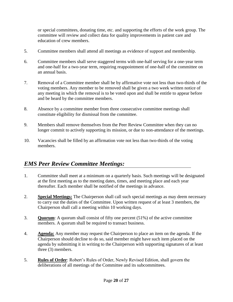or special committees, donating time, etc. and supporting the efforts of the work group. The committee will review and collect data for quality improvements in patient care and education of crew members.

- 5. Committee members shall attend all meetings as evidence of support and membership.
- 6. Committee members shall serve staggered terms with one-half serving for a one-year term and one-half for a two-year term, requiring reappointment of one-half of the committee on an annual basis.
- 7. Removal of a Committee member shall be by affirmative vote not less than two-thirds of the voting members. Any member to be removed shall be given a two week written notice of any meeting in which the removal is to be voted upon and shall be entitle to appear before and be heard by the committee members.
- 8. Absence by a committee member from three consecutive committee meetings shall constitute eligibility for dismissal from the committee.
- 9. Members shall remove themselves from the Peer Review Committee when they can no longer commit to actively supporting its mission, or due to non-attendance of the meetings.
- 10. Vacancies shall be filled by an affirmation vote not less than two-thirds of the voting members.

# *EMS Peer Review Committee Meetings:*

- 1. Committee shall meet at a minimum on a quarterly basis. Such meetings will be designated at the first meeting as to the meeting dates, times, and meeting place and each year thereafter. Each member shall be notified of the meetings in advance.
- 2. **Special Meetings:** The Chairperson shall call such special meetings as may deem necessary to carry out the duties of the Committee. Upon written request of at least 3 members, the Chairperson shall call a meeting within 10 working days.
- 3. **Quorum**: A quorum shall consist of fifty one percent (51%) of the active committee members. A quorum shall be required to transact business.
- 4. **Agenda:** Any member may request the Chairperson to place an item on the agenda. If the Chairperson should decline to do so, said member might have such item placed on the agenda by submitting it in writing to the Chairperson with supporting signatures of at least three (3) members.
- 5. **Rules of Order**: Robert's Rules of Order, Newly Revised Edition, shall govern the deliberations of all meetings of the Committee and its subcommittees.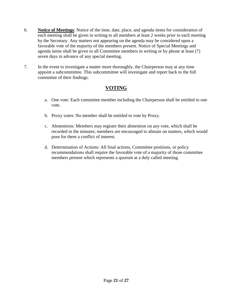- 6. **Notice of Meetings**: Notice of the time, date, place, and agenda items for consideration of each meeting shall be given in writing to all members at least 2 weeks prior to each meeting by the Secretary. Any matters not appearing on the agenda may be considered upon a favorable vote of the majority of the members present. Notice of Special Meetings and agenda items shall be given to all Committee members in writing or by phone at least (7) seven days in advance of any special meeting.
- 7. In the event to investigate a matter more thoroughly, the Chairperson may at any time appoint a subcommittee. This subcommittee will investigate and report back to the full committee of their findings.

# **VOTING**

- a. One vote: Each committee member including the Chairperson shall be entitled to one vote.
- b. Proxy votes: No member shall be entitled to vote by Proxy.
- c. Abstentions: Members may register their abstention on any vote, which shall be recorded in the minutes; members are encouraged to abstain on matters, which would pose for them a conflict of interest.
- d. Determination of Actions: All final actions, Committee positions, or policy recommendations shall require the favorable vote of a majority of those committee members present which represents a quorum at a duly called meeting.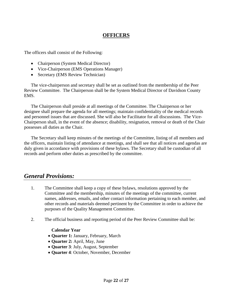## **OFFICERS**

The officers shall consist of the Following:

- Chairperson (System Medical Director)
- Vice-Chairperson (EMS Operations Manager)
- Secretary (EMS Review Technician)

The vice-chairperson and secretary shall be set as outlined from the membership of the Peer Review Committee. The Chairperson shall be the System Medical Director of Davidson County EMS.

The Chairperson shall preside at all meetings of the Committee. The Chairperson or her designee shall prepare the agenda for all meetings; maintain confidentiality of the medical records and personnel issues that are discussed. She will also be Facilitator for all discussions. The Vice-Chairperson shall, in the event of the absence; disability, resignation, removal or death of the Chair possesses all duties as the Chair.

The Secretary shall keep minutes of the meetings of the Committee, listing of all members and the officers, maintain listing of attendance at meetings, and shall see that all notices and agendas are duly given in accordance with provisions of these bylaws. The Secretary shall be custodian of all records and perform other duties as prescribed by the committee.

# *General Provisions:*

- 1. The Committee shall keep a copy of these bylaws, resolutions approved by the Committee and the membership, minutes of the meetings of the committee, current names, addresses, emails, and other contact information pertaining to each member, and other records and materials deemed pertinent by the Committee in order to achieve the purposes of the Quality Management Committee.
- 2. The official business and reporting period of the Peer Review Committee shall be:

#### **Calendar Year**

- **Quarter 1:** January, February, March
- **Quarter 2:** April, May, June
- **Quarter 3**: July, August, September
- **Quarter 4**: October, November, December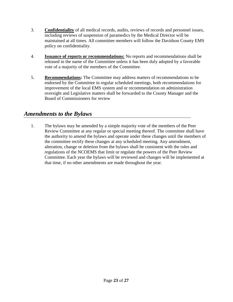- 3. **Confidentiality** of all medical records, audits, reviews of records and personnel issues, including reviews of suspension of paramedics by the Medical Director will be maintained at all times. All committee members will follow the Davidson County EMS policy on confidentiality.
- 4. **Issuance of reports or recommendations:** No reports and recommendations shall be released in the name of the Committee unless it has been duly adopted by a favorable vote of a majority of the members of the Committee.
- 5. **Recommendations:** The Committee may address matters of recommendations to be endorsed by the Committee in regular scheduled meetings, both recommendations for improvement of the local EMS system and or recommendation on administration oversight and Legislative matters shall be forwarded to the County Manager and the Board of Commissioners for review

# *Amendments to the Bylaws*

1. The bylaws may be amended by a simple majority vote of the members of the Peer Review Committee at any regular or special meeting thereof. The committee shall have the authority to amend the bylaws and operate under these changes until the members of the committee rectify these changes at any scheduled meeting. Any amendment, alteration, change or deletion from the bylaws shall be consistent with the rules and regulations of the NCOEMS that limit or regulate the powers of the Peer Review Committee. Each year the bylaws will be reviewed and changes will be implemented at that time, if no other amendments are made throughout the year.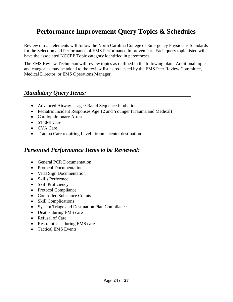# **Performance Improvement Query Topics & Schedules**

Review of data elements will follow the North Carolina College of Emergency Physicians Standards for the Selection and Performance of EMS Performance Improvement. Each query topic listed will have the associated NCCEP Topic category identified in parentheses.

The EMS Review Technician will review topics as outlined in the following plan. Additional topics and categories may be added to the review list as requested by the EMS Peer Review Committee, Medical Director, or EMS Operations Manager.

# *Mandatory Query Items:*

- Advanced Airway Usage / Rapid Sequence Intubation
- Pediatric Incident Responses Age 12 and Younger (Trauma and Medical)
- Cardiopulmonary Arrest
- STEMI Care
- CVA Care
- Trauma Care requiring Level I trauma center destination

# *Personnel Performance Items to be Reviewed:*

- General PCR Documentation
- Protocol Documentation
- Vital Sign Documentation
- Skills Performed
- Skill Proficiency
- Protocol Compliance
- Controlled Substance Counts
- Skill Complications
- System Triage and Destination Plan Compliance
- Deaths during EMS care
- Refusal of Care
- Restraint Use during EMS care
- Tactical EMS Events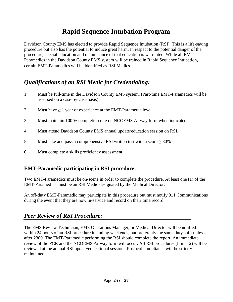# **Rapid Sequence Intubation Program**

Davidson County EMS has elected to provide Rapid Sequence Intubation (RSI). This is a life-saving procedure but also has the potential to induce great harm. In respect to the potential danger of the procedure, special education and maintenance of that education is warranted. While all EMT-Paramedics in the Davidson County EMS system will be trained in Rapid Sequence Intubation, certain EMT-Paramedics will be identified as RSI Medics.

# *Qualifications of an RSI Medic for Credentialing:*

- 1. Must be full-time in the Davidson County EMS system. (Part-time EMT-Paramedics will be assessed on a case-by-case basis).
- 2. Must have  $\geq 1$  year of experience at the EMT-Paramedic level.
- 3. Must maintain 100 % completion rate on NCOEMS Airway form when indicated.
- 4. Must attend Davidson County EMS annual update/education session on RSI.
- 5. Must take and pass a comprehensive RSI written test with a score > 80%
- 6. Must complete a skills proficiency assessment

# **EMT-Paramedic participating in RSI procedure:**

Two EMT-Paramedics must be on-scene in order to complete the procedure. At least one (1) of the EMT-Paramedics must be an RSI Medic designated by the Medical Director.

An off-duty EMT-Paramedic may participate in this procedure but must notify 911 Communications during the event that they are now in-service and record on their time record.

# *Peer Review of RSI Procedure:*

The EMS Review Technician, EMS Operations Manager, or Medical Director will be notified within 24 hours of an RSI procedure including weekends, but preferably the same duty shift unless after 2300. The EMT-Paramedic performing the RSI should complete the report. An immediate review of the PCR and the NCOEMS Airway form will occur. All RSI procedures (limit 12) will be reviewed at the annual RSI update/educational session. Protocol compliance will be strictly maintained.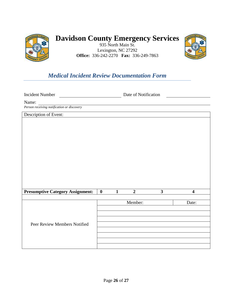

# **Davidson County Emergency Services**

935 North Main St. Lexington, NC 27292 **Office:** 336-242-2270 **Fax:** 336-249-7863



# *Medical Incident Review Documentation Form*

Incident Number Date of Notification

Name:

*Person receiving notification or discovery*

Description of Event:

| <b>Presumptive Category Assignment:</b> | $\bf{0}$ | $\overline{2}$ | 3 |       |
|-----------------------------------------|----------|----------------|---|-------|
|                                         |          |                |   |       |
|                                         |          | Member:        |   | Date: |
|                                         |          |                |   |       |
|                                         |          |                |   |       |
|                                         |          |                |   |       |
| Peer Review Members Notified            |          |                |   |       |
|                                         |          |                |   |       |
|                                         |          |                |   |       |
|                                         |          |                |   |       |
|                                         |          |                |   |       |